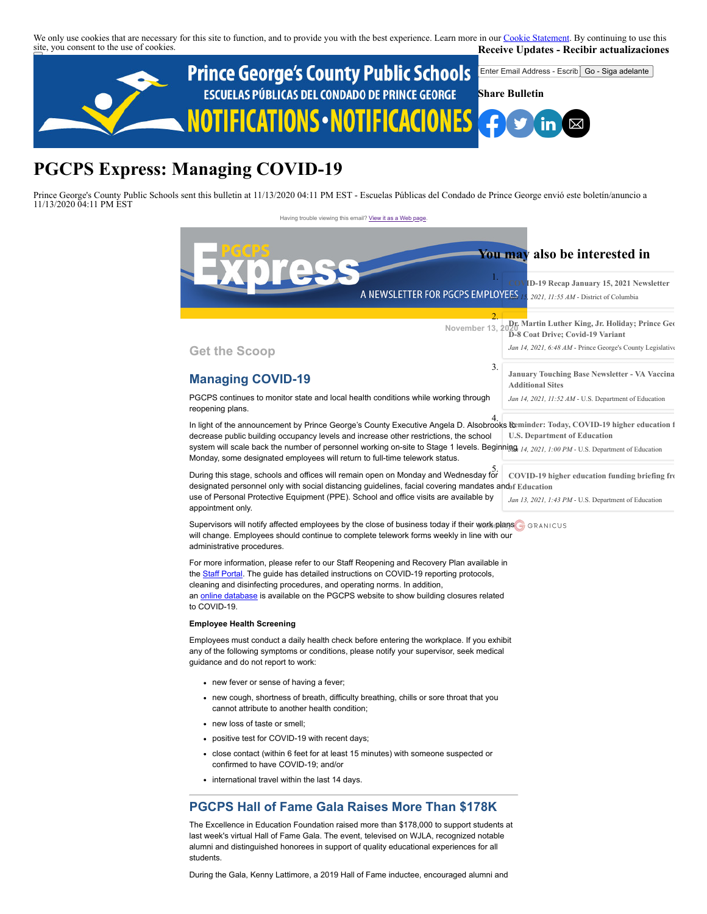We only use cookies that are necessary for this site to function, and to provide you with the best experience. Learn more in our [Cookie Statement.](https://subscriberhelp.granicus.com/s/article/Cookies) By continuing to use this site, you consent to the use of cookies. **Receive Updates - Recibir actualizaciones**



# **PGCPS Express: Managing COVID-19**

Prince George's County Public Schools sent this bulletin at 11/13/2020 04:11 PM EST - Escuelas Públicas del Condado de Prince George envió este boletín/anuncio a 11/13/2020 04:11 PM EST

> Having trouble viewing this email? [View it as a Web page](https://content.govdelivery.com/accounts/PGCPS/bulletins/2abfa81) **November 13, 2 Get the Scoop Managing COVID-19** PGCPS continues to monitor state and local health conditions while working through reopening plans. In light of the announcement by Prince George's County Executive Angela D. Alsobrooks to 4. **[Reminder: Today, COVID-19 higher education f](https://lnks.gd/l/eyJ0eXAiOiJKV1QiLCJhbGciOiJIUzI1NiJ9.eyJidWxsZXRpbl9pZCI6NDU2MjAwODYsInNoYXJlZF9idWxsZXRpbl9pZCI6NDQ4MjUyMTcsInVyaSI6InJlbGV2YW50LWJ1bGxldGlucy1mZWVkOmNsaWNrLWJ1bGxldGluIiwidXJsIjoiaHR0cHM6Ly9jb250ZW50LmdvdmRlbGl2ZXJ5LmNvbS9hY2NvdW50cy9VU0VEL2J1bGxldGlucy8yYjgxYjc2In0.vZ6n8zMDrL_OwOS_sAGTMsBVhpbTOM1UvqFA_DKlxpY)** decrease public building occupancy levels and increase other restrictions, the school system will scale back the number of personnel working on-site to Stage 1 levels. Beginni<u>ng, 14, 2021, 1:00 PM</u> - U.S. Department of Education Monday, some designated employees will return to full-time telework status. During this stage, schools and offices will remain open on Monday and Wednesday for designated personnel only with social distancing guidelines, facial covering mandates and **of Education** use of Personal Protective Equipment (PPE). School and office visits are available by appointment only. Supervisors will notify affected employees by the close of business today if their work plans are annucled will change. Employees should continue to complete telework forms weekly in line with our administrative procedures. For more information, please refer to our Staff Reopening and Recovery Plan available in the [Staff Portal](https://staff.pgcps.org/). The guide has detailed instructions on COVID-19 reporting protocols, cleaning and disinfecting procedures, and operating norms. In addition, an **online database** is available on the PGCPS website to show building closures related to COVID-19. **Employee Health Screening** Employees must conduct a daily health check before entering the workplace. If you exhibit any of the following symptoms or conditions, please notify your supervisor, seek medical guidance and do not report to work: • new fever or sense of having a fever; new cough, shortness of breath, difficulty breathing, chills or sore throat that you cannot attribute to another health condition; new loss of taste or smell; positive test for COVID-19 with recent days; close contact (within 6 feet for at least 15 minutes) with someone suspected or confirmed to have COVID-19; and/or • international travel within the last 14 days. **You may also be interested in 1. [COVID-19 Recap January 15, 2021 Newsletter](https://lnks.gd/l/eyJ0eXAiOiJKV1QiLCJhbGciOiJIUzI1NiJ9.eyJidWxsZXRpbl9pZCI6NDU1MTkwMTUsInNoYXJlZF9idWxsZXRpbl9pZCI6NDQ4MjUyMTcsInVyaSI6InJlbGV2YW50LWJ1bGxldGlucy1mZWVkOmNsaWNrLWJ1bGxldGluIiwidXJsIjoiaHR0cHM6Ly9jb250ZW50LmdvdmRlbGl2ZXJ5LmNvbS9hY2NvdW50cy9EQ1dBU0gvYnVsbGV0aW5zLzJiNjkwYTcifQ.c7yQFRHNaufl5TSq8LacIpkpXLvY0DtgTm-4fEIZZAs)**<br>1. **A NEWSLETTER FOR PGCPS EMPLOYEES** *Jan 15, 2021, 11:55 AM* - District of Columbia 2. **[Dr. Martin Luther King, Jr. Holiday; Prince Geo](https://lnks.gd/l/eyJ0eXAiOiJKV1QiLCJhbGciOiJIUzI1NiJ9.eyJidWxsZXRpbl9pZCI6NDU1NjU5NjIsInNoYXJlZF9idWxsZXRpbl9pZCI6NDQ4MjUyMTcsInVyaSI6InJlbGV2YW50LWJ1bGxldGlucy1mZWVkOmNsaWNrLWJ1bGxldGluIiwidXJsIjoiaHR0cHM6Ly9jb250ZW50LmdvdmRlbGl2ZXJ5LmNvbS9hY2NvdW50cy9NRFBHQ0xFRy9idWxsZXRpbnMvMmI3NDgwYSJ9.ciDpWZOtdNhGYeXADn0BLycR1JtlQKKoxBMY98yMI0I) D-8 Coat Drive; Covid-19 Variant** *Jan 14, 2021, 6:48 AM* - Prince George's County Legislative 3. **[January Touching Base Newsletter - VA Vaccina](https://lnks.gd/l/eyJ0eXAiOiJKV1QiLCJhbGciOiJIUzI1NiJ9.eyJidWxsZXRpbl9pZCI6NDU1MzUwOTUsInNoYXJlZF9idWxsZXRpbl9pZCI6NDQ4MjUyMTcsInVyaSI6InJlbGV2YW50LWJ1bGxldGlucy1mZWVkOmNsaWNrLWJ1bGxldGluIiwidXJsIjoiaHR0cHM6Ly9jb250ZW50LmdvdmRlbGl2ZXJ5LmNvbS9hY2NvdW50cy9VU0VEL2J1bGxldGlucy8yYjZjZjc3In0.ufxKuNDzRdW_5eMfcXn2As3ztBkycaEnVeB0zYUOlkQ) Additional Sites** *Jan 14, 2021, 11:52 AM* - U.S. Department of Education **U.S. Department of Education** 5. **[COVID-19 higher education funding briefing fro](https://lnks.gd/l/eyJ0eXAiOiJKV1QiLCJhbGciOiJIUzI1NiJ9.eyJidWxsZXRpbl9pZCI6NDUzMTY0NTgsInNoYXJlZF9idWxsZXRpbl9pZCI6NDQ4MjUyMTcsInVyaSI6InJlbGV2YW50LWJ1bGxldGlucy1mZWVkOmNsaWNrLWJ1bGxldGluIiwidXJsIjoiaHR0cHM6Ly9jb250ZW50LmdvdmRlbGl2ZXJ5LmNvbS9hY2NvdW50cy9VU0VEL2J1bGxldGlucy8yYjM3OTZhIn0.ekkERLE31a0817F6YjNOeakU-XVo01Mzp84ad4u1awI)** *Jan 13, 2021, 1:43 PM* - U.S. Department of Education

# **PGCPS Hall of Fame Gala Raises More Than \$178K**

The Excellence in Education Foundation raised more than \$178,000 to support students at last week's virtual Hall of Fame Gala. The event, televised on WJLA, recognized notable alumni and distinguished honorees in support of quality educational experiences for all students.

During the Gala, Kenny Lattimore, a 2019 Hall of Fame inductee, encouraged alumni and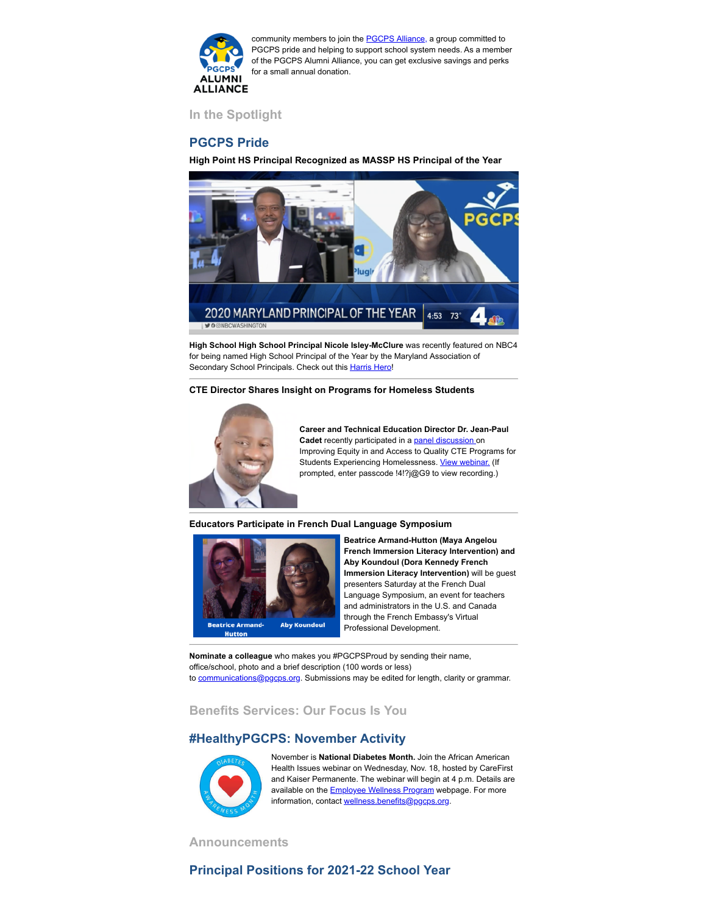

community members to join the **PGCPS Alliance**, a group committed to PGCPS pride and helping to support school system needs. As a member of the PGCPS Alumni Alliance, you can get exclusive savings and perks for a small annual donation.

**In the Spotlight**

## **PGCPS Pride**

**High Point HS Principal Recognized as MASSP HS Principal of the Year** 



**High School High School Principal Nicole Isley-McClure** was recently featured on NBC4 for being named High School Principal of the Year by the Maryland Association of Secondary School Principals. Check out this [Harris Hero](https://www.nbcwashington.com/news/local/harris-heroes/harris-heroes-recognizing-marylands-2020-principal-of-the-year/2469190/)!

#### **CTE Director Shares Insight on Programs for Homeless Students**



**Career and Technical Education Director Dr. Jean-Paul Cadet** recently participated in a **panel discussion** on Improving Equity in and Access to Quality CTE Programs for Students Experiencing Homelessness. [View webinar.](https://uncg.zoom.us/rec/play/EoPn8tI33sAz5YiKKF__DPnfEQCt_9Oxt0EydG6FL94fLKQouLxOSBTXN4y-cHol1H3vKK58PwA4-LZW.WxoxoM7gkgWG76TG?continueMode=true&_x_zm_rtaid=Pt-4SdmFQxW378-jnqv3FQ.1605291747557.b26c7c5ed41752188d1f07e750cde4ae&_x_zm_rhtaid=849) (If prompted, enter passcode !4!?j@G9 to view recording.)

#### **Educators Participate in French Dual Language Symposium**



**Beatrice Armand-Hutton (Maya Angelou French Immersion Literacy Intervention) and Aby Koundoul (Dora Kennedy French Immersion Literacy Intervention)** will be guest presenters Saturday at the French Dual Language Symposium, an event for teachers and administrators in the U.S. and Canada through the French Embassy's Virtual Professional Development.

**Nominate a colleague** who makes you #PGCPSProud by sending their name, office/school, photo and a brief description (100 words or less) to [communications@pgcps.org](mailto:communications@pgcps.org). Submissions may be edited for length, clarity or grammar.

**Benefits Services: Our Focus Is You**

## **#HealthyPGCPS: November Activity**



November is **National Diabetes Month.** Join the African American Health Issues webinar on Wednesday, Nov. 18, hosted by CareFirst and Kaiser Permanente. The webinar will begin at 4 p.m. Details are available on the **[Employee Wellness Program](https://offices.pgcps.org/Wellness/Cards/Employee-Wellness-Program/)** webpage. For more information, contact [wellness.benefits@pgcps.org](mailto:wellness.benefits@pgcps.org).

**Announcements** 

# **Principal Positions for 2021-22 School Year**